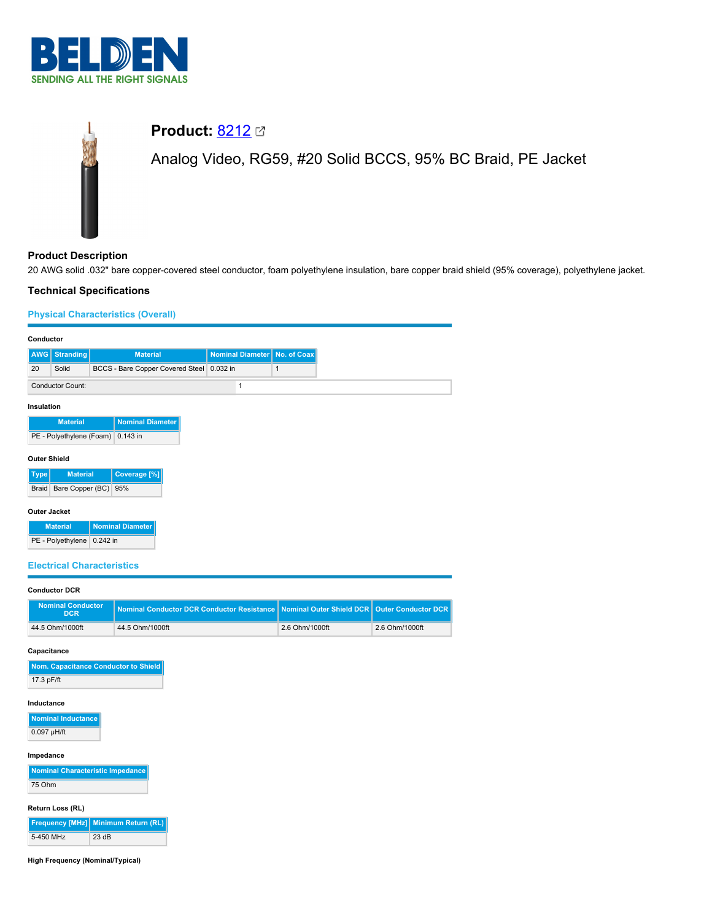

# **Product:** [8212](https://catalog.belden.com/index.cfm?event=pd&p=PF_8212&tab=downloads)

Analog Video, RG59, #20 Solid BCCS, 95% BC Braid, PE Jacket

# **Product Description**

20 AWG solid .032" bare copper-covered steel conductor, foam polyethylene insulation, bare copper braid shield (95% coverage), polyethylene jacket.

## **Technical Specifications**

## **Physical Characteristics (Overall)**

| Conductor                                  |                                        |  |                                                   |                         |                |                                 |  |
|--------------------------------------------|----------------------------------------|--|---------------------------------------------------|-------------------------|----------------|---------------------------------|--|
| AWG I                                      | <b>Stranding</b>                       |  | <b>Material</b>                                   | <b>Nominal Diameter</b> | No. of Coax    |                                 |  |
| 20                                         | Solid                                  |  | BCCS - Bare Copper Covered Steel 0.032 in         |                         | $\mathbf{1}$   |                                 |  |
| $\mathbf{1}$<br><b>Conductor Count:</b>    |                                        |  |                                                   |                         |                |                                 |  |
| Insulation                                 |                                        |  |                                                   |                         |                |                                 |  |
| <b>Nominal Diameter</b><br><b>Material</b> |                                        |  |                                                   |                         |                |                                 |  |
|                                            | PE - Polyethylene (Foam) 0.143 in      |  |                                                   |                         |                |                                 |  |
|                                            | <b>Outer Shield</b>                    |  |                                                   |                         |                |                                 |  |
| Type                                       | <b>Material</b>                        |  | Coverage [%]                                      |                         |                |                                 |  |
|                                            | Braid Bare Copper (BC) 95%             |  |                                                   |                         |                |                                 |  |
|                                            | <b>Outer Jacket</b>                    |  |                                                   |                         |                |                                 |  |
|                                            | <b>Material</b>                        |  | <b>Nominal Diameter</b>                           |                         |                |                                 |  |
|                                            | PE - Polyethylene 0.242 in             |  |                                                   |                         |                |                                 |  |
|                                            | <b>Electrical Characteristics</b>      |  |                                                   |                         |                |                                 |  |
|                                            |                                        |  |                                                   |                         |                |                                 |  |
|                                            | <b>Conductor DCR</b>                   |  |                                                   |                         |                |                                 |  |
|                                            | <b>Nominal Conductor</b><br><b>DCR</b> |  | <b>Nominal Conductor DCR Conductor Resistance</b> |                         |                | <b>Nominal Outer Shield DCR</b> |  |
|                                            | 44.5 Ohm/1000ft                        |  | 44.5 Ohm/1000ft                                   |                         | 2.6 Ohm/1000ft |                                 |  |
|                                            | Capacitance                            |  |                                                   |                         |                |                                 |  |
|                                            |                                        |  | Nom. Capacitance Conductor to Shield              |                         |                |                                 |  |
| 17.3 pF/ft                                 |                                        |  |                                                   |                         |                |                                 |  |
| Inductance                                 |                                        |  |                                                   |                         |                |                                 |  |
| Nominal Inductance                         |                                        |  |                                                   |                         |                |                                 |  |
|                                            | 0.097 µH/ft                            |  |                                                   |                         |                |                                 |  |
| Impedance                                  |                                        |  |                                                   |                         |                |                                 |  |
|                                            | Nominal Characteristic Impedance       |  |                                                   |                         |                |                                 |  |
| 75 Ohm                                     |                                        |  |                                                   |                         |                |                                 |  |
|                                            | Pattern Lee (PI)                       |  |                                                   |                         |                |                                 |  |

oss (RL)

|           | Frequency [MHz] Minimum Return (RL) |
|-----------|-------------------------------------|
| 5-450 MHz | 23 dB                               |

**High Frequency (Nominal/Typical)**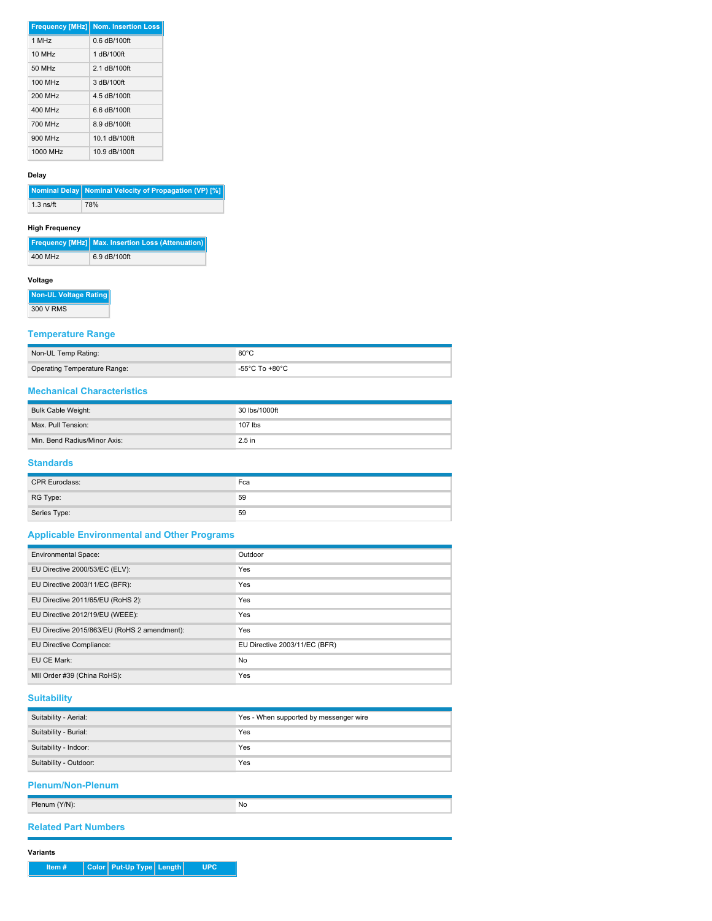|                      | <b>Frequency [MHz] Nom. Insertion Loss</b> |
|----------------------|--------------------------------------------|
| 1 MHz                | $0.6$ dB/100ft                             |
| $10$ MH <sub>z</sub> | 1 dB/100ft                                 |
| 50 MHz               | 2.1 dB/100ft                               |
| 100 MHz              | 3 dB/100ft                                 |
| 200 MHz              | 4.5 dB/100ft                               |
| 400 MHz              | 6.6 dB/100ft                               |
| 700 MHz              | 8.9 dB/100ft                               |
| 900 MHz              | 10.1 dB/100ft                              |
| 1000 MHz             | 10.9 dB/100ft                              |

#### **Delay**

|             | Nominal Delay Nominal Velocity of Propagation (VP) [%] |
|-------------|--------------------------------------------------------|
| $1.3$ ns/ft | 78%                                                    |

#### **High Frequency**

|         | Frequency [MHz] Max. Insertion Loss (Attenuation) |
|---------|---------------------------------------------------|
| 400 MHz | 6.9 dB/100ft                                      |

#### **Voltage**

**Non-UL Voltage Rating** 300 V RMS

## **Temperature Range**

| Non-UL Temp Rating:          | $80^{\circ}$ C                       |
|------------------------------|--------------------------------------|
| Operating Temperature Range: | -55 $^{\circ}$ C To +80 $^{\circ}$ C |

# **Mechanical Characteristics**

| Bulk Cable Weight:           | 30 lbs/1000ft |
|------------------------------|---------------|
| Max. Pull Tension:           | 107 lbs       |
| Min. Bend Radius/Minor Axis: | $2.5$ in      |

#### **Standards**

| <b>CPR Euroclass:</b> | Fca |
|-----------------------|-----|
| RG Type:              | 59  |
| Series Type:          | 59  |

# **Applicable Environmental and Other Programs**

| <b>Environmental Space:</b>                  | Outdoor                       |
|----------------------------------------------|-------------------------------|
| EU Directive 2000/53/EC (ELV):               | Yes                           |
| EU Directive 2003/11/EC (BFR):               | Yes                           |
| EU Directive 2011/65/EU (RoHS 2):            | Yes                           |
| EU Directive 2012/19/EU (WEEE):              | Yes                           |
| EU Directive 2015/863/EU (RoHS 2 amendment): | Yes                           |
| EU Directive Compliance:                     | EU Directive 2003/11/EC (BFR) |
| EU CE Mark:                                  | No                            |
| MII Order #39 (China RoHS):                  | Yes                           |

# **Suitability**

| Suitability - Aerial:    | Yes - When supported by messenger wire |  |  |  |
|--------------------------|----------------------------------------|--|--|--|
| Suitability - Burial:    | Yes                                    |  |  |  |
| Suitability - Indoor:    | Yes                                    |  |  |  |
| Suitability - Outdoor:   | Yes                                    |  |  |  |
| <b>Plenum/Non-Plenum</b> |                                        |  |  |  |

| Plenum (Y/N): | No |
|---------------|----|
|               |    |

## **Related Part Numbers**

**Variants**